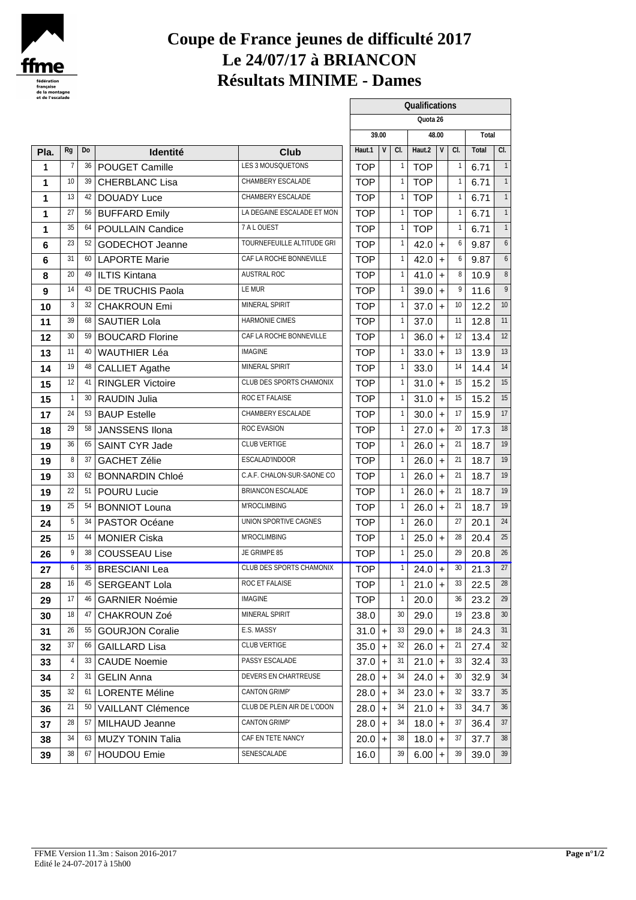

#### **Coupe de France jeunes de difficulté 2017 Le 24/07/17 à BRIANCON Résultats MINIME - Dames**

| et de l'escalade |                |     |                          |                             |            |          |   |                 |                |           |     |       |                 |
|------------------|----------------|-----|--------------------------|-----------------------------|------------|----------|---|-----------------|----------------|-----------|-----|-------|-----------------|
|                  |                |     |                          |                             |            |          |   |                 | Qualifications |           |     |       |                 |
|                  |                |     |                          |                             |            |          |   |                 | Quota 26       |           |     |       |                 |
|                  |                |     |                          |                             |            | 39.00    |   |                 | 48.00          |           |     | Total |                 |
| Pla.             | <b>Rg</b>      | Do  | <b>Identité</b>          | <b>Club</b>                 | Haut.1     |          | V | CI.             | Haut.2         | V         | CI. | Total | CI.             |
| $\mathbf{1}$     | -7             | 36  | POUGET Camille           | LES 3 MOUSQUETONS           | <b>TOP</b> |          |   |                 | <b>TOP</b>     |           |     | 6.71  |                 |
| $\mathbf 1$      | 10             | 39  | <b>CHERBLANC Lisa</b>    | CHAMBERY ESCALADE           | <b>TOP</b> |          |   |                 | <b>TOP</b>     |           |     | 6.71  |                 |
| 1                | 13             | 42  | DOUADY Luce              | CHAMBERY ESCALADE           | <b>TOP</b> |          |   |                 | <b>TOP</b>     |           |     | 6.71  |                 |
| 1                | 27             | 56  | <b>BUFFARD Emily</b>     | LA DEGAINE ESCALADE ET MON  | <b>TOP</b> |          |   |                 | <b>TOP</b>     |           |     | 6.71  |                 |
| 1                | 35             | 64  | POULLAIN Candice         | 7 A L OUEST                 | <b>TOP</b> |          |   |                 | <b>TOP</b>     |           |     | 6.71  |                 |
| 6                | 23             | 52  | <b>GODECHOT Jeanne</b>   | TOURNEFEUILLE ALTITUDE GRI  | <b>TOP</b> |          |   |                 | 42.0           | $\ddot{}$ |     | 9.87  |                 |
| 6                | 31             | 60  | <b>LAPORTE Marie</b>     | CAF LA ROCHE BONNEVILLE     | <b>TOP</b> |          |   |                 | 42.0           | $+$       |     | 9.87  |                 |
| 8                | 20             | 49  | <b>ILTIS Kintana</b>     | AUSTRAL ROC                 | <b>TOP</b> |          |   |                 | 41.0           | $\ddot{}$ |     | 10.9  | 8               |
| 9                | 14             | 43  | DE TRUCHIS Paola         | LE MUR                      | <b>TOP</b> |          |   |                 | 39.0           | $+$       |     | 11.6  |                 |
| 10               | 3              | 32  | <b>CHAKROUN Emi</b>      | MINERAL SPIRIT              | <b>TOP</b> |          |   |                 | $37.0 +$       |           | -10 | 12.2  | 10 <sup>°</sup> |
| 11               | 39             | 68  | <b>SAUTIER Lola</b>      | HARMONIE CIMES              | <b>TOP</b> |          |   |                 | 37.0           |           | -11 | 12.8  | 11              |
| 12               | 30             | 59  | <b>BOUCARD Florine</b>   | CAF LA ROCHE BONNEVILLE     | <b>TOP</b> |          |   |                 | 36.0           | $+$       | -12 | 13.4  | 12              |
| 13               | 11             | 40  | <b>WAUTHIER Léa</b>      | <b>IMAGINE</b>              | <b>TOP</b> |          |   |                 | 33.0           | $+$       | -13 | 13.9  | 13              |
| 14               | 19             | 48  | <b>CALLIET Agathe</b>    | MINERAL SPIRIT              | <b>TOP</b> |          |   |                 | 33.0           |           | 14  | 14.4  | 14              |
| 15               | 12             | 41  | <b>RINGLER Victoire</b>  | CLUB DES SPORTS CHAMONIX    | <b>TOP</b> |          |   |                 | $31.0 +$       |           | 15  | 15.2  | 15              |
| 15               | $\overline{1}$ | 30  | <b>RAUDIN Julia</b>      | ROC ET FALAISE              | <b>TOP</b> |          |   |                 | $31.0 +$       |           | 15  | 15.2  | 15              |
| 17               | 24             | 53  | <b>BAUP Estelle</b>      | CHAMBERY ESCALADE           | <b>TOP</b> |          |   |                 | 30.0           | $+$       | -17 | 15.9  | 17              |
| 18               | 29             | 58  | JANSSENS Ilona           | ROC EVASION                 | <b>TOP</b> |          |   |                 | 27.0           | $+$       | -20 | 17.3  | 18              |
| 19               | 36             | 65  | SAINT CYR Jade           | CLUB VERTIGE                | <b>TOP</b> |          |   |                 | 26.0           | $+$       | -21 | 18.7  | 19              |
| 19               | 8              | 37  | <b>GACHET Zélie</b>      | ESCALAD'INDOOR              | <b>TOP</b> |          |   |                 | 26.0           | $+$       | -21 | 18.7  | 19              |
| 19               | 33             | 62  | <b>BONNARDIN Chloé</b>   | C.A.F. CHALON-SUR-SAONE CO  | <b>TOP</b> |          |   |                 | $26.0 +$       |           | -21 | 18.7  | 19              |
| 19               | 22             | 51  | POURU Lucie              | BRIANCON ESCALADE           | <b>TOP</b> |          |   |                 | 26.0           | $+$       | -21 | 18.7  | 19              |
| 19               | 25             | 54  | <b>BONNIOT Louna</b>     | <b>M'ROCLIMBING</b>         | <b>TOP</b> |          |   |                 | 26.0           | $\ddot{}$ | -21 | 18.7  | 19              |
| 24               | 5              | 34  | PASTOR Océane            | UNION SPORTIVE CAGNES       | <b>TOP</b> |          |   |                 | 26.0           |           | 27  | 20.1  | 24              |
| 25               | 15             | 44  | <b>MONIER Ciska</b>      | M'ROCLIMBING                | <b>TOP</b> |          |   |                 | $25.0 +$       |           | -28 | 20.4  | 25              |
| 26               | 9              | 38  | <b>COUSSEAU Lise</b>     | JE GRIMPE 85                | <b>TOP</b> |          |   |                 | 25.0           |           | -29 | 20.8  | 26              |
| 27               | 6              | 35  | <b>BRESCIANI Lea</b>     | CLUB DES SPORTS CHAMONIX    | <b>TOP</b> |          |   |                 | $24.0 +$       |           | 30  | 21.3  | 27              |
| 28               | 16             | 45  | <b>SERGEANT Lola</b>     | ROC ET FALAISE              | <b>TOP</b> |          |   | -1              | $21.0 +$       |           | 33  | 22.5  | 28              |
| 29               | 17             | 46  | <b>GARNIER Noémie</b>    | <b>IMAGINE</b>              | <b>TOP</b> |          |   |                 | 20.0           |           | 36  | 23.2  | 29              |
| 30               | 18             | 47  | <b>CHAKROUN Zoé</b>      | MINERAL SPIRIT              | 38.0       |          |   | 30 <sup>°</sup> | 29.0           |           | 19  | 23.8  | 30 <sup>°</sup> |
| 31               | 26             | 55  | <b>GOURJON Coralie</b>   | E.S. MASSY                  |            | $31.0 +$ |   | 33              | $29.0 +$       |           | -18 | 24.3  | 31              |
| 32               | 37             | 66  | <b>GAILLARD Lisa</b>     | CLUB VERTIGE                |            | $35.0 +$ |   | 32              | $26.0 +$       |           | -21 | 27.4  | 32              |
| 33               | $\overline{4}$ | 33  | <b>CAUDE Noemie</b>      | PASSY ESCALADE              |            | $37.0 +$ |   | 31              | $21.0 +$       |           | -33 | 32.4  | 33              |
| 34               | $\overline{2}$ | -31 | <b>GELIN Anna</b>        | DEVERS EN CHARTREUSE        |            | $28.0 +$ |   | 34              | $24.0 +$       |           | 30  | 32.9  | 34              |
| 35               | 32             | 61  | <b>LORENTE Méline</b>    | <b>CANTON GRIMP'</b>        |            | $28.0 +$ |   | 34              | 23.0           | $\ddot{}$ | -32 | 33.7  | 35              |
| 36               | 21             | 50  | <b>VAILLANT Clémence</b> | CLUB DE PLEIN AIR DE L'ODON |            | $28.0 +$ |   | 34              | $21.0 +$       |           | 33  | 34.7  | 36              |
| 37               | 28             | -57 | MILHAUD Jeanne           | <b>CANTON GRIMP'</b>        |            | $28.0 +$ |   | 34              | 18.0           | $+$       | -37 | 36.4  | 37              |
| 38               | 34             | 63  | <b>MUZY TONIN Talia</b>  | CAF EN TETE NANCY           |            | $20.0$ + |   | 38              | $18.0 +$       |           | -37 | 37.7  | 38              |
| 39               | 38             | 67  | <b>HOUDOU Emie</b>       | SENESCALADE                 | 16.0       |          |   | 39              | $6.00 +$       |           | 39  | 39.0  | 39              |
|                  |                |     |                          |                             |            |          |   |                 |                |           |     |       |                 |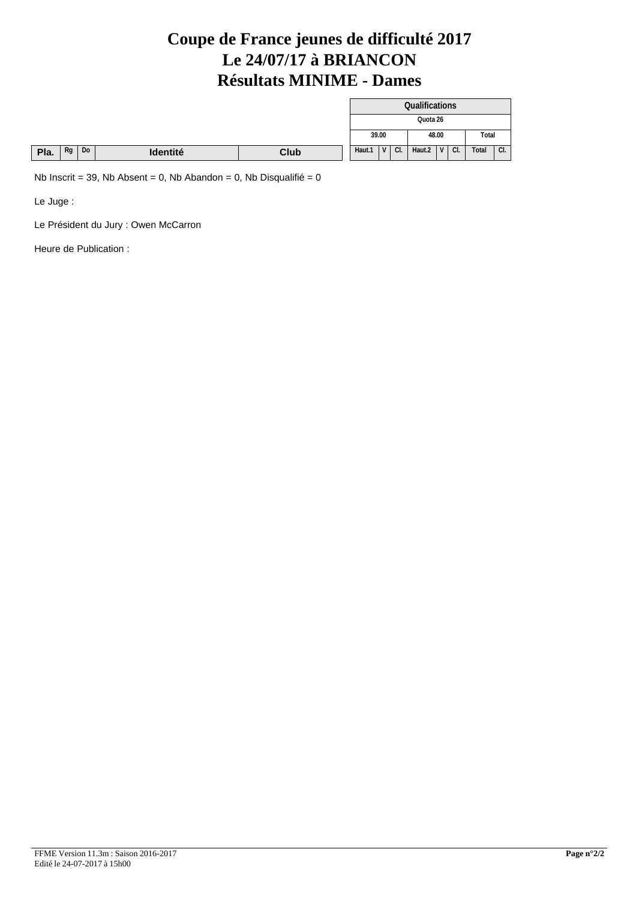#### **Coupe de France jeunes de difficulté 2017 Le 24/07/17 à BRIANCON Résultats MINIME - Dames**

|      |    |    |          |      |        |            |    | Qualifications |          |     |       |     |
|------|----|----|----------|------|--------|------------|----|----------------|----------|-----|-------|-----|
|      |    |    |          |      |        |            |    |                | Quota 26 |     |       |     |
|      |    |    |          |      | 39.00  |            |    |                | 48.00    |     | Total |     |
| Pla. | Rg | Do | Identité | Club | Haut.1 | $\sqrt{V}$ | CL | Haut.2 $ V $   |          | CI. | Total | CI. |

Nb Inscrit = 39, Nb Absent = 0, Nb Abandon = 0, Nb Disqualifié =  $0$ 

Le Juge :

Le Président du Jury : Owen McCarron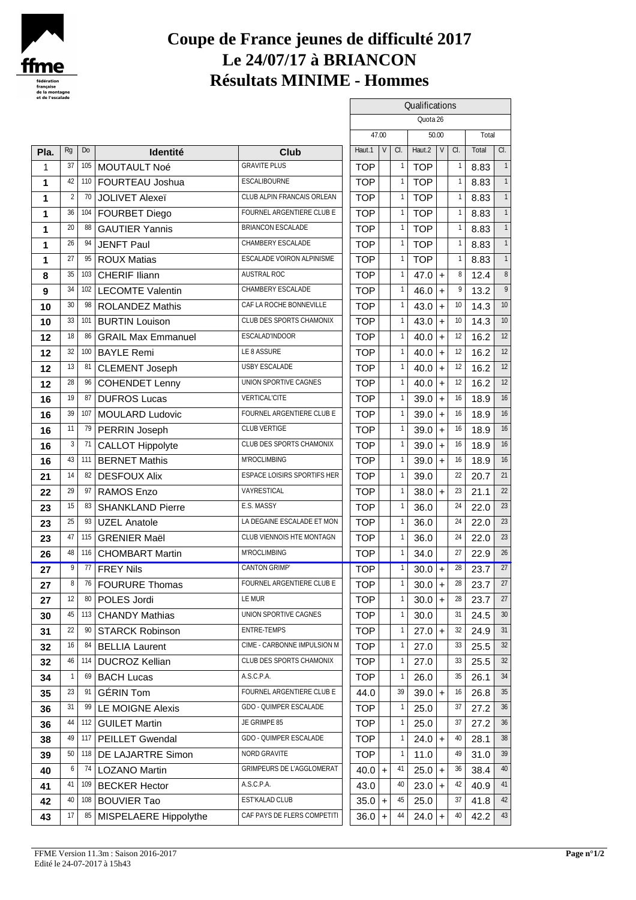

# **Coupe de France jeunes de difficulté 2017 Le 24/07/17 à BRIANCON Résultats MINIME - Hommes**

| et de l'escalade |                |     |                                      |                                    |            |        |              | Qualifications |                  |          |       |                  |
|------------------|----------------|-----|--------------------------------------|------------------------------------|------------|--------|--------------|----------------|------------------|----------|-------|------------------|
|                  |                |     |                                      |                                    |            | 47.00  |              |                | Quota 26         |          |       |                  |
|                  |                |     |                                      |                                    |            |        |              |                | 50.00            |          | Total |                  |
| Pla.             | Rg             | Do  | <b>Identité</b>                      | Club                               | Haut.1     | $\vee$ | a.           | Haut.2         | V                | a.       | Total | a.               |
| 1                | 37             |     | 105 MOUTAULT Noé                     | <b>GRAVITE PLUS</b>                | <b>TOP</b> |        | $\mathbf{1}$ | <b>TOP</b>     |                  |          | 8.83  |                  |
| 1                | 42             |     | 110 FOURTEAU Joshua                  | <b>ESCALIBOURNE</b>                | <b>TOP</b> |        | $\mathbf{1}$ | <b>TOP</b>     |                  |          | 8.83  |                  |
| 1                | $\overline{2}$ | 70  | <b>JOLIVET Alexeï</b>                | CLUB ALPIN FRANCAIS ORLEAN         | <b>TOP</b> |        | $\mathbf{1}$ | <b>TOP</b>     |                  |          | 8.83  |                  |
| 1                | 36             |     | 104 FOURBET Diego                    | FOURNEL ARGENTIERE CLUBE           | <b>TOP</b> |        | $\mathbf{1}$ | <b>TOP</b>     |                  |          | 8.83  |                  |
| 1                | 20             | 88  | <b>GAUTIER Yannis</b>                | <b>BRIANCON ESCALADE</b>           | <b>TOP</b> |        | 1            | <b>TOP</b>     |                  |          | 8.83  |                  |
| 1                | 26             | 94  | <b>JENFT Paul</b>                    | CHAMBERY ESCALADE                  | <b>TOP</b> |        | $\mathbf{1}$ | <b>TOP</b>     |                  |          | 8.83  |                  |
| 1                | 27             | 95  | <b>ROUX Matias</b>                   | <b>ESCALADE VOIRON ALPINISME</b>   | <b>TOP</b> |        | $\mathbf{1}$ | <b>TOP</b>     |                  |          | 8.83  |                  |
| 8                | 35             | 103 | <b>CHERIF Iliann</b>                 | AUSTRAL ROC                        | <b>TOP</b> |        | $\mathbf{1}$ | 47.0           | $+$              | 8        | 12.4  |                  |
| 9                | 34             |     | 102 LECOMTE Valentin                 | CHAMBERY ESCALADE                  | <b>TOP</b> |        | $\mathbf{1}$ | 46.0           | $\ddot{}$        | 9        | 13.2  |                  |
| 10               | 30             |     | 98 ROLANDEZ Mathis                   | CAF LA ROCHE BONNEVILLE            | <b>TOP</b> |        | $\mathbf{1}$ | 43.0           | $\ddot{}$        | 10       | 14.3  | 10 <sup>10</sup> |
| 10               | 33             | 101 | <b>BURTIN Louison</b>                | CLUB DES SPORTS CHAMONIX           | <b>TOP</b> |        | $\mathbf{1}$ | 43.0           | $\ddot{}$        | 10       | 14.3  | 10               |
| 12               | 18             | 86  | <b>GRAIL Max Emmanuel</b>            | <b>ESCALADINDOOR</b>               | <b>TOP</b> |        | $\mathbf{1}$ | 40.0           | $\ddot{}$        | 12       | 16.2  | 12               |
| 12               | 32             | 100 | <b>BAYLE Remi</b>                    | LE 8 ASSURE                        | <b>TOP</b> |        | $\mathbf{1}$ | 40.0           |                  | 12       | 16.2  | 12               |
| 12               | 13             | 81  | <b>CLEMENT Joseph</b>                | USBY ESCALADE                      | <b>TOP</b> |        | $\mathbf{1}$ | 40.0           | $\ddot{}$<br>$+$ | 12       | 16.2  | 12               |
| 12               | 28             |     | <sup>96</sup> COHENDET Lenny         | UNION SPORTIVE CAGNES              | <b>TOP</b> |        | $\mathbf{1}$ | 40.0           |                  | 12       | 16.2  | 12               |
|                  | 19             | 87  | <b>DUFROS Lucas</b>                  | <b>VERTICAL'CITE</b>               | <b>TOP</b> |        | $\mathbf{1}$ | 39.0           | $\ddot{}$        | 16       | 18.9  | 16               |
| 16               | 39             | 107 | <b>MOULARD Ludovic</b>               | FOURNEL ARGENTIERE CLUB E          | <b>TOP</b> |        | $\mathbf{1}$ | 39.0           | $\ddot{}$        | 16       |       | 16               |
| 16               | 11             |     |                                      | <b>CLUB VERTIGE</b>                | <b>TOP</b> |        | $\mathbf{1}$ | 39.0           | $\ddot{}$        | 16       | 18.9  | 16               |
| 16               | 3              | 71  | 79 PERRIN Joseph                     | CLUB DES SPORTS CHAMONIX           |            |        | $\mathbf{1}$ |                | $\ddot{}$        | 16       | 18.9  | 16               |
| 16               |                |     | <b>CALLOT Hippolyte</b>              | <b>MROCLIMBING</b>                 | <b>TOP</b> |        |              | 39.0           | $+$              |          | 18.9  |                  |
| 16               | 43<br>14       | 82  | 111 BERNET Mathis                    | <b>ESPACE LOISIRS SPORTIFS HER</b> | <b>TOP</b> |        | $\mathbf{1}$ | 39.0           | $+$              | 16<br>22 | 18.9  | 16<br>21         |
| 21               |                |     | <b>DESFOUX Alix</b>                  |                                    | <b>TOP</b> |        |              | 39.0           |                  |          | 20.7  |                  |
| 22               | 29             | 97  | RAMOS Enzo                           | <b>VAYRESTICAL</b>                 | <b>TOP</b> |        | $\mathbf{1}$ | 38.0           | $\ddot{}$        | 23       | 21.1  | 22               |
| 23               | 15             | 83  | <b>SHANKLAND Pierre</b>              | E.S. MASSY                         | <b>TOP</b> |        | $\mathbf{1}$ | 36.0           |                  | 24       | 22.0  | 23               |
| 23               | 25             | 93  | <b>UZEL Anatole</b>                  | LA DEGAINE ESCALADE ET MON         | <b>TOP</b> |        | $\mathbf{1}$ | 36.0           |                  | 24       | 22.0  | 23               |
| 23               | 47             | 115 | <b>GRENIER Maël</b>                  | CLUB VIENNOIS HTE MONTAGN          | <b>TOP</b> |        | $\mathbf{1}$ | 36.0           |                  | 24       | 22.0  | 23               |
| 26               | 48             |     | 116   CHOMBART Martin                | <b>MROCLIMBING</b>                 | <b>TOP</b> |        | $\mathbf{1}$ | 34.0           |                  | 27       | 22.9  | 26               |
| 27               | 9              |     | $\overline{\overline{77}}$ FREY Nils | <b>CANTON GRIMP</b>                | <b>TOP</b> |        | $\mathbf{1}$ | 30.0           | $\vert + \vert$  | 28       | 23.7  | 27               |
| 27               | 8              |     | 76 FOURURE Thomas                    | FOURNEL ARGENTIERE CLUBE           | <b>TOP</b> |        | 1            | 30.0           | $\ddot{}$        | 28       | 23.7  | 27               |
| 27               | 12             |     | 80 POLES Jordi                       | <b>LEMUR</b>                       | <b>TOP</b> |        | $\mathbf{1}$ | 30.0           | $\ddot{}$        | 28       | 23.7  | 27               |
| 30               | 45             | 113 | <b>CHANDY Mathias</b>                | UNION SPORTIVE CAGNES              | <b>TOP</b> |        |              | 30.0           |                  | 31       | 24.5  | 30               |
| 31               | 22             | 90  | <b>STARCK Robinson</b>               | <b>ENTRE-TEMPS</b>                 | <b>TOP</b> |        |              | $27.0 +$       |                  | 32       | 24.9  | 31               |
| 32               | 16             |     | 84 BELLIA Laurent                    | CIME - CARBONNE IMPULSION M        | <b>TOP</b> |        |              | 27.0           |                  | 33       | 25.5  | 32               |
| 32               | 46             |     | 114 DUCROZ Kellian                   | CLUB DES SPORTS CHAMONIX           | <b>TOP</b> |        | 1            | 27.0           |                  | 33       | 25.5  | 32               |
| 34               | $\overline{1}$ | 69  | <b>BACH Lucas</b>                    | ASCPA                              | <b>TOP</b> |        | 1            | 26.0           |                  | 35       | 26.1  | 34               |
| 35               | 23             | 91  | <b>GÉRIN Tom</b>                     | FOURNEL ARGENTIERE CLUBE           | 44.0       |        | 39           | 39.0           | $\ddot{}$        | 16       | 26.8  | 35               |
| 36               | 31             | 99  | <b>LE MOIGNE Alexis</b>              | <b>GDO - QUIMPER ESCALADE</b>      | <b>TOP</b> |        | $\mathbf{1}$ | 25.0           |                  | 37       | 27.2  | 36               |
| 36               | 44             |     | 112 GUILET Martin                    | JE GRIMPE 85                       | <b>TOP</b> |        | $\mathbf{1}$ | 25.0           |                  | 37       | 27.2  | 36               |
| 38               | 49             |     | 117 PEILLET Gwendal                  | <b>GDO - QUIMPER ESCALADE</b>      | <b>TOP</b> |        |              | 24.0           | $+$              | 40       | 28.1  | 38               |
| 39               | 50             | 118 | <b>DE LAJARTRE Simon</b>             | NORD GRAVITE                       | <b>TOP</b> |        | $\mathbf{1}$ | 11.0           |                  | 49       | 31.0  | 39               |
| 40               | 6              |     | 74 LOZANO Martin                     | <b>GRIMPEURS DE L'AGGLOMERAT</b>   | $40.0$ +   |        | 41           | 25.0           | $\ddot{}$        | 36       | 38.4  | 40               |
| 41               | 41             |     | 109 BECKER Hector                    | ASCPA                              | 43.0       |        | 40           | 23.0           | $+$              | 42       | 40.9  | 41               |
| 42               | 40             |     | 108 BOUVIER Tao                      | <b>ESTKALAD CLUB</b>               | $35.0 +$   |        | 45           | 25.0           |                  | 37       | 41.8  | 42               |
| 43               | 17             |     | 85 MISPELAERE Hippolythe             | CAF PAYS DE FLERS COMPETITI        | $36.0 +$   |        | 44           | $24.0 +$       |                  | 40       | 42.2  | 43               |
|                  |                |     |                                      |                                    |            |        |              |                |                  |          |       |                  |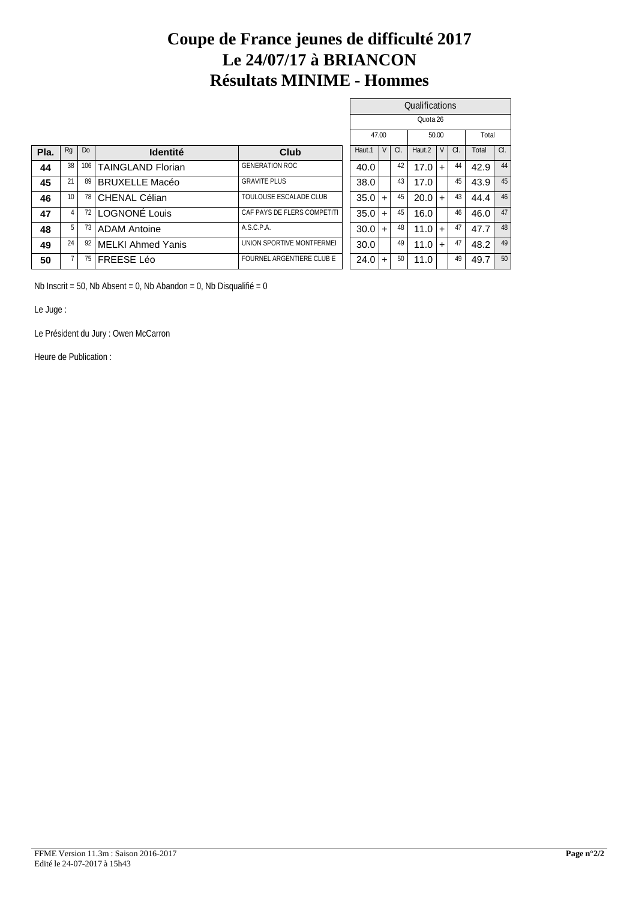### **Coupe de France jeunes de difficulté 2017 Le 24/07/17 à BRIANCON Résultats MINIME - Hommes**

|      |                 |     |                          |                             |          |           |          | Qualifications |                      |       |          |
|------|-----------------|-----|--------------------------|-----------------------------|----------|-----------|----------|----------------|----------------------|-------|----------|
|      |                 |     |                          |                             |          |           |          | Quota 26       |                      |       |          |
|      |                 |     |                          |                             |          | 47.00     |          | 50.00          |                      | Total |          |
| Pla. | Rg              | Do  | <b>Identité</b>          | Club                        | Haut.1   | $\vee$    | $\alpha$ | Haut.2         | a.<br>V <sub>l</sub> | Total | $\alpha$ |
| 44   | 38              | 106 | <b>TAINGLAND Florian</b> | <b>GENERATION ROC</b>       | 40.0     |           | 42       | 17.0           | 44<br>$\pm$          | 42.9  | 44       |
| 45   | 21              | 89  | <b>BRUXELLE Macéo</b>    | <b>GRAVITE PLUS</b>         | 38.0     |           | 43       | 17.0           | 45                   | 43.9  | 45       |
| 46   | 10 <sup>°</sup> | 78  | CHENAL Célian            | TOULOUSE ESCALADE CLUB      | 35.0     | $+$       | 45       | 20.0           | 43<br>$+$            | 44.4  | 46       |
| 47   |                 | 72  | LOGNONE Louis            | CAF PAYS DE FLERS COMPETITI | 35.0     | $+$       | 45       | 16.0           | 46                   | 46.0  | 47       |
| 48   | 51              | 73  | <b>ADAM Antoine</b>      | ASCPA                       | $30.0 +$ |           | 48       | 11.0           | 47<br>$+$            | 47.7  | 48       |
| 49   | 24              | 92  | <b>MELKI Ahmed Yanis</b> | UNION SPORTIVE MONTFERMEI   | 30.0     |           | 49       | 11.0           | 47<br>$\pm$          | 48.2  | 49       |
| 50   |                 | 75  | <b>FREESE Léo</b>        | FOURNEL ARGENTIERE CLUBE    | 24.0     | $\ddot{}$ | 50       | 11.0           | 49                   | 49.7  | 50       |

Nb Inscrit = 50, Nb Absent = 0, Nb Abandon = 0, Nb Disqualifié = 0

Le Juge :

Le Président du Jury : Owen McCarron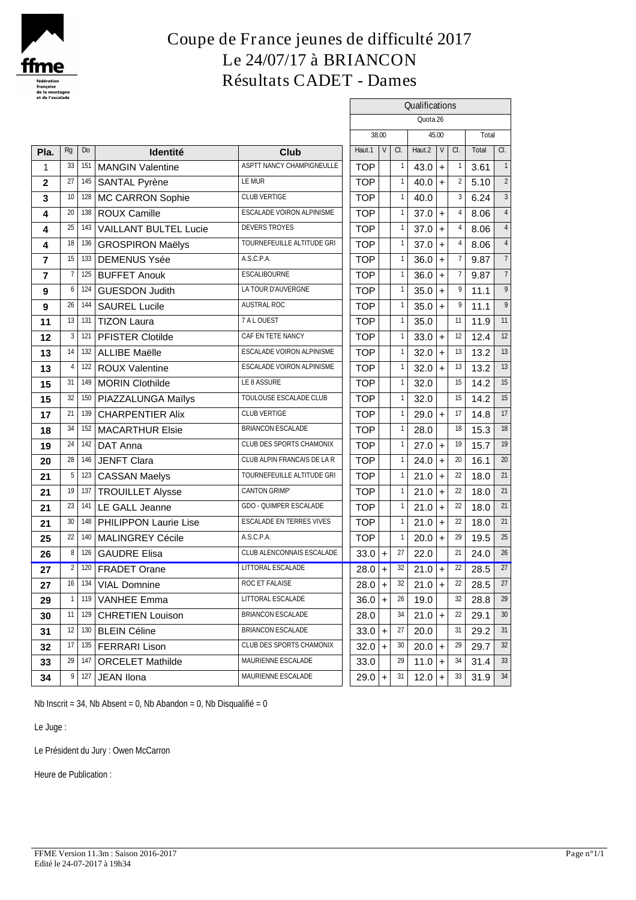

# **Coupe de France jeunes de difficulté 2017 Le 24/07/17 à BRIANCON Résultats CADET - Dames**

| et de l'escalade |                |     |                           |                                  |                            |          |        |                |          |           |            |       |                |
|------------------|----------------|-----|---------------------------|----------------------------------|----------------------------|----------|--------|----------------|----------|-----------|------------|-------|----------------|
|                  |                |     |                           |                                  | Qualifications<br>Quota 26 |          |        |                |          |           |            |       |                |
|                  |                |     |                           |                                  |                            |          |        |                |          |           |            |       |                |
|                  |                |     |                           |                                  |                            | 38.00    |        |                |          | 45.00     |            | Total |                |
| Pla.             | Rg             | Do  | <b>Identité</b>           | <b>Club</b>                      | Haut.1                     |          | $\vee$ | a.             | Haut.2   | $\vee$    | $\alpha$ . | Total | a.             |
| 1                | 33             | 151 | <b>MANGIN Valentine</b>   | ASPTT NANCY CHAMPIGNEULLE        | <b>TOP</b>                 |          |        | -1             | 43.0     | $\ddot{}$ |            | 3.61  | $\mathbf{1}$   |
| $\mathbf 2$      | 27             |     | 145 SANTAL Pyrène         | <b>LEMUR</b>                     | <b>TOP</b>                 |          |        |                | 40.0     | $\ddot{}$ | 2          | 5.10  | $\overline{2}$ |
| 3                | $10$           |     | 128 MC CARRON Sophie      | <b>CLUB VERTIGE</b>              | <b>TOP</b>                 |          |        |                | 40.0     |           | 3          | 6.24  | 3              |
| 4                | 20             | 138 | ROUX Camille              | ESCALADE VOIRON ALPINISME        | <b>TOP</b>                 |          |        |                | 37.0     | $+$       |            | 8.06  |                |
| 4                | 25             |     | 143 VAILLANT BULTEL Lucie | <b>DEVERS TROYES</b>             | <b>TOP</b>                 |          |        |                | 37.0     | $+$       |            | 8.06  |                |
| 4                | 18             |     | 136 GROSPIRON Maëlys      | TOURNEFEUILLE ALTITUDE GRI       | <b>TOP</b>                 |          |        |                | 37.0     | $+$       |            | 8.06  |                |
| $\overline{7}$   | 15             | 133 | DEMENUS Ysée              | ASCPA                            | <b>TOP</b>                 |          |        |                | 36.0     | $\ddot{}$ |            | 9.87  | $\overline{7}$ |
| $\overline{7}$   | $\overline{7}$ |     | 125 BUFFET Anouk          | <b>ESCALIBOURNE</b>              | <b>TOP</b>                 |          |        |                | 36.0     | $\ddot{}$ |            | 9.87  | $\overline{7}$ |
| 9                | 6              | 124 | <b>GUESDON Judith</b>     | LA TOUR D'AUVERGNE               | <b>TOP</b>                 |          |        |                | 35.0     | $+$       | 9          | 11.1  | 9              |
| 9                | 26             | 144 | SAUREL Lucile             | AUSTRAL ROC                      | <b>TOP</b>                 |          |        |                | 35.0     | $+$       | 9          | 11.1  | 9              |
| 11               | 13             | 131 | <b>TIZON Laura</b>        | 7ALOUEST                         | <b>TOP</b>                 |          |        |                | 35.0     |           | 11         | 11.9  | 11             |
| 12               | 3              | 121 | <b>PFISTER Clotilde</b>   | CAF EN TETE NANCY                | <b>TOP</b>                 |          |        |                | 33.0     | $+$       | 12         | 12.4  | 12             |
| 13               | 14             | 132 | <b>ALLIBE Maëlle</b>      | ESCALADE VOIRON ALPINISME        | <b>TOP</b>                 |          |        |                | 32.0     | $\ddot{}$ | 13         | 13.2  | 13             |
| 13               | $\overline{4}$ |     | 122 ROUX Valentine        | <b>ESCALADE VOIRON ALPINISME</b> | <b>TOP</b>                 |          |        |                | 32.0     | $+$       | 13         | 13.2  | 13             |
| 15               | 31             | 149 | MORIN Clothilde           | LE 8 ASSURE                      | <b>TOP</b>                 |          |        |                | 32.0     |           | 15         | 14.2  | 15             |
| 15               | 32             |     | 150 PIAZZALUNGA Maïlys    | TOULOUSE ESCALADE CLUB           | <b>TOP</b>                 |          |        |                | 32.0     |           | 15         | 14.2  | 15             |
| 17               | 21             |     | 139 CHARPENTIER Alix      | <b>CLUB VERTIGE</b>              | <b>TOP</b>                 |          |        |                | 29.0     | $+$       | 17         | 14.8  | 17             |
| 18               | 34             | 152 | <b>MACARTHUR Elsie</b>    | BRIANCON ESCALADE                | <b>TOP</b>                 |          |        |                | 28.0     |           | 18         | 15.3  | 18             |
| 19               | 24             | 142 | DAT Anna                  | CLUB DES SPORTS CHAMONIX         | <b>TOP</b>                 |          |        |                | 27.0     | $+$       | 19         | 15.7  | 19             |
| 20               | 28             | 146 | <b>JENFT Clara</b>        | CLUB ALPIN FRANCAIS DE LA R      | <b>TOP</b>                 |          |        |                | 24.0     | $+$       | 20         | 16.1  | 20             |
| 21               | 5              | 123 | <b>CASSAN Maelys</b>      | TOURNEFEUILLE ALTITUDE GRI       | <b>TOP</b>                 |          |        |                | 21.0     | $+$       | 22         | 18.0  | 21             |
| 21               | 19             | 137 | <b>TROUILLET Alysse</b>   | CANTON GRIMP                     | <b>TOP</b>                 |          |        |                | 21.0     | $\ddot{}$ | 22         | 18.0  | 21             |
| 21               | 23             | 141 | LE GALL Jeanne            | GDO-QUIMPER ESCALADE             | <b>TOP</b>                 |          |        |                | 21.0     | $+$       | 22         | 18.0  | 21             |
| 21               | $30\,$         |     | 148 PHILIPPON Laurie Lise | <b>ESCALADE EN TERRES VIVES</b>  | <b>TOP</b>                 |          |        | $\overline{1}$ | 21.0     | $+$       | 22         | 18.0  | 21             |
| 25               | $2\!2$         | 140 | <b>MALINGREY Cécile</b>   | <b>ASCPA</b>                     | <b>TOP</b>                 |          |        |                | 20.0     | $+$       | 29         | 19.5  | 25             |
| 26               | 8              | 126 | <b>GAUDRE Elisa</b>       | CLUB ALENCONNAIS ESCALADE        | 33.0                       |          | $+$    | 27             | 22.0     |           | 21         | 24.0  | 26             |
| 27               | 2              |     | 120 FRADET Orane          | <b>LITTORAL ESCALADE</b>         |                            | $28.0 +$ |        | 32             | $21.0 +$ |           | 22         | 28.5  | 27             |
| 27               | 16             |     | 134   VIAL Domnine        | ROC ET FALAISE                   |                            | $28.0$ + |        | 32             | $21.0 +$ |           | 22         | 28.5  | 27             |
| 29               | -1             |     | 119 VANHEE Emma           | <b>LITTORAL ESCALADE</b>         |                            | $36.0$ + |        | 26             | 19.0     |           | 32         | 28.8  | 29             |
| 30               | 11             |     | 129 CHRETIEN Louison      | BRIANCON ESCALADE                | 28.0                       |          |        | 34             | $21.0 +$ |           | 22         | 29.1  | 30             |
| 31               | 12             |     | 130 BLEIN Céline          | BRIANCON ESCALADE                |                            | $33.0 +$ |        | 27             | 20.0     |           | 31         | 29.2  | 31             |
| 32               | 17             |     | 135 FERRARI Lison         | CLUB DES SPORTS CHAMONIX         |                            | $32.0 +$ |        | 30             | 20.0     | $\ddot{}$ | 29         | 29.7  | 32             |
| 33               | 29             | 147 | <b>ORCELET Mathilde</b>   | MAURIENNE ESCALADE               | 33.0                       |          |        | 29             | $11.0 +$ |           | -34        | 31.4  | 33             |
| 34               | 9              | 127 | JEAN Ilona                | MAURIENNE ESCALADE               |                            | $29.0 +$ |        | 31             | 12.0     | $+$       | 33         | 31.9  | 34             |

Nb Inscrit = 34, Nb Absent = 0, Nb Abandon = 0, Nb Disqualifié = 0

Le Juge :

Le Président du Jury : Owen McCarron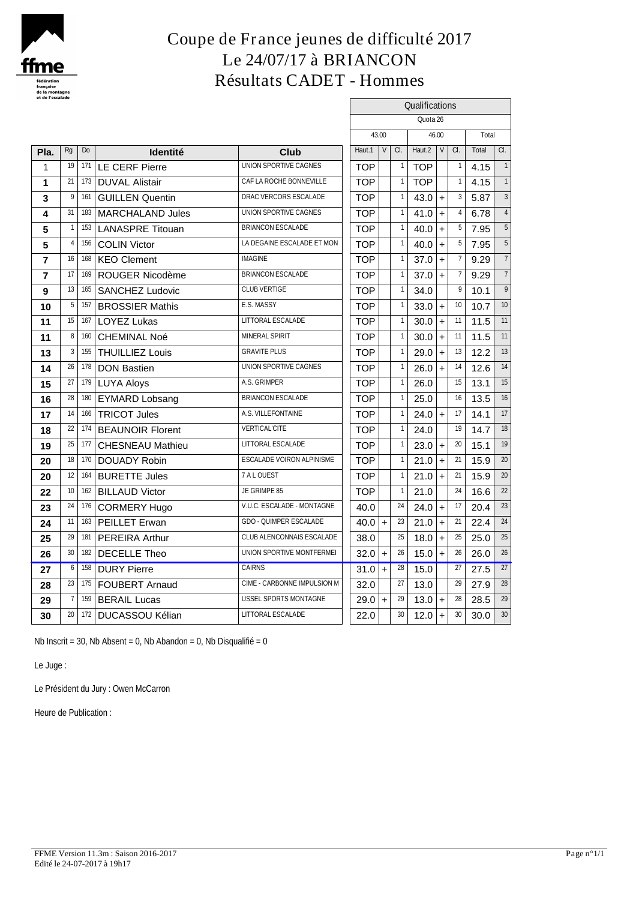

### **Coupe de France jeunes de difficulté 2017 Le 24/07/17 à BRIANCON Résultats CADET - Hommes**

| et de l'escalade        |                |     |                         |                                  |            |           |                |            | Qualifications |     |       |                |  |
|-------------------------|----------------|-----|-------------------------|----------------------------------|------------|-----------|----------------|------------|----------------|-----|-------|----------------|--|
|                         |                |     |                         |                                  |            |           |                | Quota 26   |                |     |       |                |  |
|                         |                |     |                         |                                  |            | 43.00     |                |            | 46.00          |     | Total |                |  |
| Pla.                    | Rg             | Do  | <b>Identité</b>         | Club                             | Haut.1     | $\vee$    | a.             | Haut.2     | V              | a.  | Total | a.             |  |
| 1                       | 19             | 171 | <b>LE CERF Pierre</b>   | UNION SPORTIVE CAGNES            | <b>TOP</b> |           | $\mathbf{1}$   | <b>TOP</b> |                |     | 4.15  | $\mathbf{1}$   |  |
| 1                       | 21             | 173 | <b>DUVAL Alistair</b>   | CAF LA ROCHE BONNEVILLE          | <b>TOP</b> |           | $\mathbf{1}$   | <b>TOP</b> |                |     | 4.15  |                |  |
| 3                       | 9              | 161 | <b>GUILLEN Quentin</b>  | DRAC VERCORS ESCALADE            | <b>TOP</b> |           | $\mathbf{1}$   | 43.0       | $\ddot{}$      | 3   | 5.87  | 3              |  |
| 4                       | 31             |     | 183   MARCHALAND Jules  | UNION SPORTIVE CAGNES            | <b>TOP</b> |           | $\mathbf{1}$   | 41.0       | $\ddot{}$      |     | 6.78  | $\overline{4}$ |  |
| 5                       | $\overline{1}$ | 153 | <b>LANASPRE</b> Titouan | <b>BRIANCON ESCALADE</b>         | <b>TOP</b> |           | $\mathbf{1}$   | 40.0       | $\ddot{}$      |     | 7.95  | 5              |  |
| 5                       | $\overline{4}$ | 156 | COLIN Victor            | LA DEGAINE ESCALADE ET MON       | <b>TOP</b> |           | $\mathbf{1}$   | 40.0       | $\ddot{}$      | 5   | 7.95  | $\sqrt{5}$     |  |
| $\overline{7}$          | 16             | 168 | KEO Clement             | <b>IMAGINE</b>                   | <b>TOP</b> |           | $\mathbf{1}$   | 37.0       | $+$            |     | 9.29  | $\overline{7}$ |  |
| $\overline{\mathbf{r}}$ | 17             | 169 | ROUGER Nicodème         | BRIANCON ESCALADE                | <b>TOP</b> |           | $\mathbf{1}$   | 37.0       | $+$            |     | 9.29  | $\overline{7}$ |  |
| 9                       | 13             | 165 | <b>SANCHEZ Ludovic</b>  | <b>CLUB VERTIGE</b>              | <b>TOP</b> |           | $\overline{1}$ | 34.0       |                | 9   | 10.1  | 9              |  |
| 10                      | 5              | 157 | <b>BROSSIER Mathis</b>  | E.S. MASSY                       | <b>TOP</b> |           |                | 33.0       | $\ddot{}$      | 10  | 10.7  | 10             |  |
| 11                      | 15             | 167 | <b>LOYEZ Lukas</b>      | <b>LITTORAL ESCALADE</b>         | <b>TOP</b> |           |                | 30.0       | +              | 11  | 11.5  | 11             |  |
| 11                      | 8              | 160 | <b>CHEMINAL Noé</b>     | <b>MINERAL SPIRIT</b>            | <b>TOP</b> |           | $\overline{1}$ | 30.0       | $\ddot{}$      | 11  | 11.5  | 11             |  |
| 13                      | 3              | 155 | <b>THUILLIEZ Louis</b>  | <b>GRAVITE PLUS</b>              | <b>TOP</b> |           | 1              | 29.0       | $\ddot{}$      | 13  | 12.2  | 13             |  |
| 14                      | 26             | 178 | <b>DON Bastien</b>      | UNION SPORTIVE CAGNES            | <b>TOP</b> |           | $\mathbf{1}$   | 26.0       | $+$            | 14  | 12.6  | 14             |  |
| 15                      | 27             |     | 179 LUYA Aloys          | A.S. GRIMPER                     | <b>TOP</b> |           | $\mathbf{1}$   | 26.0       |                | 15  | 13.1  | 15             |  |
| 16                      | 28             | 180 | <b>EYMARD Lobsang</b>   | BRIANCON ESCALADE                | <b>TOP</b> |           | 1              | 25.0       |                | 16  | 13.5  | 16             |  |
| 17                      | 14             |     | 166 TRICOT Jules        | AS VILLEFONTAINE                 | <b>TOP</b> |           | $\overline{1}$ | 24.0       | $\ddot{}$      | 17  | 14.1  | 17             |  |
| 18                      | $22\,$         |     | 174 BEAUNOIR Florent    | <b>VERTICAL'CITE</b>             | <b>TOP</b> |           | $\mathbf{1}$   | 24.0       |                | 19  | 14.7  | 18             |  |
| 19                      | 25             | 177 | <b>CHESNEAU Mathieu</b> | LITTORAL ESCALADE                | <b>TOP</b> |           | $\mathbf{1}$   | 23.0       | $+$            | 20  | 15.1  | 19             |  |
| 20                      | 18             | 170 | <b>DOUADY Robin</b>     | <b>ESCALADE VOIRON ALPINISME</b> | <b>TOP</b> |           | $\mathbf{1}$   | 21.0       | $+$            | 21  | 15.9  | 20             |  |
| 20                      | 12             | 164 | <b>BURETTE Jules</b>    | 7ALOJEST                         | <b>TOP</b> |           | $\mathbf{1}$   | 21.0       | $\ddot{}$      | 21  | 15.9  | 20             |  |
| 22                      | 10             | 162 | <b>BILLAUD Victor</b>   | JE GRIMPE 85                     | <b>TOP</b> |           |                | 21.0       |                | 24  | 16.6  | 22             |  |
| 23                      | 24             |     | 176 CORMERY Hugo        | V.U.C. ESCALADE - MONTAGNE       | 40.0       |           | 24             | 24.0       | $\ddot{}$      | -17 | 20.4  | 23             |  |
| 24                      | 11             |     | 163 PEILLET Erwan       | <b>GDO - QUIMPER ESCALADE</b>    | 40.0       | $\ddot{}$ | 23             | 21.0       | $\ddot{}$      | 21  | 22.4  | 24             |  |
| 25                      | 29             | 181 | <b>PEREIRA Arthur</b>   | CLUB ALENCONNAIS ESCALADE        | 38.0       |           | 25             | 18.0       | $+$            | 25  | 25.0  | 25             |  |
| 26                      | 30             | 182 | <b>DECELLE Theo</b>     | UNION SPORTIVE MONTFERMEI        | 32.0       | $\ddot{}$ | 26             | 15.0       | $\pmb{+}$      | 26  | 26.0  | 26             |  |
| 27                      | 6              | 158 | <b>DURY Pierre</b>      | <b>CAIRNS</b>                    | $31.0 +$   |           | 28             | 15.0       |                | 27  | 27.5  | 27             |  |
| 28                      | 23             | 175 | FOUBERT Arnaud          | CIME - CARBONNE IMPULSION M      | 32.0       |           | 27             | 13.0       |                | 29  | 27.9  | 28             |  |
| 29                      | $\overline{7}$ | 159 | <b>BERAIL Lucas</b>     | USSEL SPORTS MONTAGNE            | $29.0 +$   |           | 29             | 13.0       | $\ddot{}$      | 28  | 28.5  | 29             |  |
| 30                      | 20             | 172 | DUCASSOU Kélian         | LITTORAL ESCALADE                | 22.0       |           | 30             | 12.0       | $+$            | 30  | 30.0  | 30             |  |

Nb Inscrit = 30, Nb Absent = 0, Nb Abandon = 0, Nb Disqualifié = 0

Le Juge :

Le Président du Jury : Owen McCarron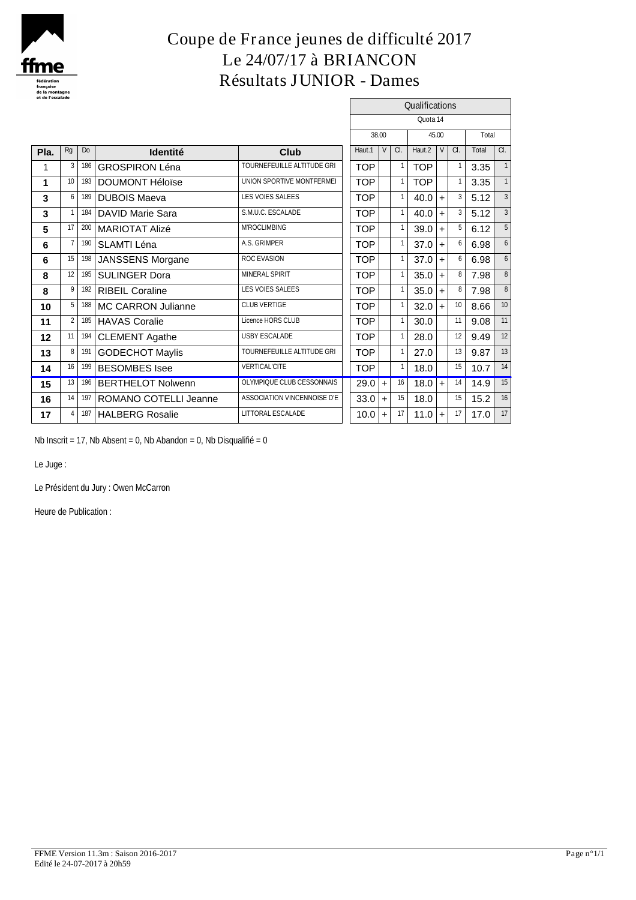

# **Coupe de France jeunes de difficulté 2017 Le 24/07/17 à BRIANCON Résultats JUNIOR - Dames**

 $\overline{a}$ 

|      |                 |     |                         |                                    |            |       |                 | Qualifications |                |    |       |                  |
|------|-----------------|-----|-------------------------|------------------------------------|------------|-------|-----------------|----------------|----------------|----|-------|------------------|
|      |                 |     |                         |                                    |            |       |                 | Quota 14       |                |    |       |                  |
|      |                 |     |                         |                                    |            | 38.00 |                 |                | 45.00          |    | Total |                  |
| Pla. | Rg              | Do  | <b>Identité</b>         | Club                               | Haut.1     | V     | a.              | Haut.2         | V <sub>1</sub> | C. | Total | CI.              |
|      | 3               | 186 | <b>GROSPIRON Léna</b>   | <b>TOURNEFEUILLE ALTITUDE GRI</b>  | <b>TOP</b> |       |                 | <b>TOP</b>     |                |    | 3.35  |                  |
| 1    | 10              | 193 | <b>DOUMONT Héloïse</b>  | UNION SPORTIVE MONTFERMEI          | <b>TOP</b> |       |                 | <b>TOP</b>     |                |    | 3.35  |                  |
| 3    | 6               | 189 | <b>DUBOIS Maeva</b>     | <b>LES VOIES SALEES</b>            | <b>TOP</b> |       |                 | 40.0           | $+$            | 3  | 5.12  |                  |
| 3    |                 | 184 | <b>DAVID Marie Sara</b> | S.M.U.C. ESCALADE                  | <b>TOP</b> |       |                 | 40.0           | $+$            | 3  | 5.12  |                  |
| 5    | 17              |     | 200 MARIOTAT Alizé      | <b>MROCLIMBING</b>                 | TOP        |       |                 | 39.0           | $+$            | 5  | 6.12  |                  |
| 6    | $\overline{7}$  | 190 | SLAMTI Léna             | <b>A.S. GRIMPER</b>                | <b>TOP</b> |       |                 | 37.0           | $+$            | 6  | 6.98  |                  |
| 6    | 15              | 198 | <b>JANSSENS Morgane</b> | <b>ROC EVASION</b>                 | <b>TOP</b> |       |                 | 37.0           | $+$            |    | 6.98  |                  |
| 8    | 12 <sup>1</sup> | 195 | <b>SULINGER Dora</b>    | <b>MINERAL SPIRIT</b>              | TOP        |       |                 | 35.0           | $+$            | 8  | 7.98  |                  |
| 8    | 9               |     | 192 RIBEIL Coraline     | <b>LES VOIES SALEES</b>            | <b>TOP</b> |       |                 | 35.0           | $+$            | 8  | 7.98  |                  |
| 10   | 5               | 188 | MC CARRON Julianne      | <b>CLUB VERTIGE</b>                | <b>TOP</b> |       |                 | 32.0           | $+$            | 10 | 8.66  | 10 <sup>10</sup> |
| 11   | $\overline{2}$  | 185 | <b>HAVAS Coralie</b>    | Licence HORS CLUB                  | <b>TOP</b> |       |                 | 30.0           |                | 11 | 9.08  | 11               |
| 12   | 11              | 194 | <b>CLEMENT Agathe</b>   | <b>USBY ESCALADE</b>               | <b>TOP</b> |       |                 | 28.0           |                | 12 | 9.49  | 12               |
| 13   | 8 <sup>1</sup>  | 191 | <b>GODECHOT Maylis</b>  | <b>TOURNEFEUILLE ALTITUDE GRI</b>  | <b>TOP</b> |       |                 | 27.0           |                | 13 | 9.87  | 13               |
| 14   | 16 <sup>1</sup> |     | 199 BESOMBES Isee       | <b>VERTICAL'CITE</b>               | <b>TOP</b> |       |                 | 18.0           |                | 15 | 10.7  | 14               |
| 15   | 13              |     | 196 BERTHELOT Nolwenn   | <b>OLYMPIQUE CLUB CESSONNAIS</b>   | $29.0 +$   |       | 16              | $18.0 +$       |                | 14 | 14.9  | 15               |
| 16   | 14              | 197 | ROMANO COTELLI Jeanne   | <b>ASSOCIATION VINCENNOISE D'E</b> | $33.0 +$   |       | 15              | 18.0           |                | 15 | 15.2  | 16               |
| 17   | 4               | 187 | <b>HALBERG Rosalie</b>  | <b>LITTORAL ESCALADE</b>           | $10.0$ +   |       | 17 <sup>1</sup> | 11.0           | $+$            | 17 | 17.0  | 17               |
|      |                 |     |                         |                                    |            |       |                 |                |                |    |       |                  |

Nb Inscrit = 17, Nb Absent = 0, Nb Abandon = 0, Nb Disqualifié = 0

Le Juge :

Le Président du Jury : Owen McCarron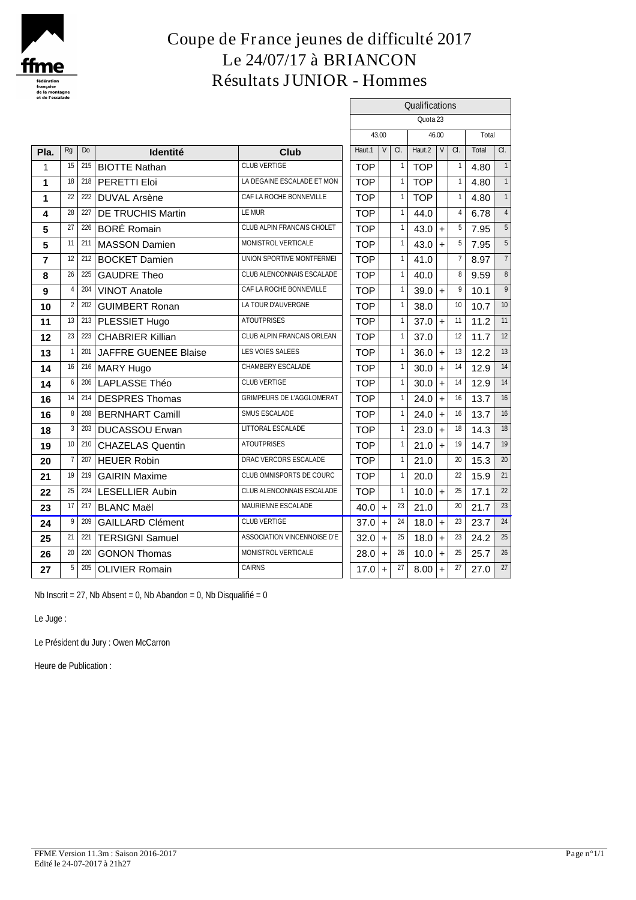

### **Coupe de France jeunes de difficulté 2017 Le 24/07/17 à BRIANCON Résultats JUNIOR - Hommes**

 $\Gamma$ 

|                |                 |           |                             |                                   |                |                                          |              | Qualifications<br>Quota <sub>23</sub> |           |            |       |                |  |  |  |
|----------------|-----------------|-----------|-----------------------------|-----------------------------------|----------------|------------------------------------------|--------------|---------------------------------------|-----------|------------|-------|----------------|--|--|--|
|                |                 |           |                             |                                   | 43.00<br>46.00 |                                          |              |                                       |           |            |       |                |  |  |  |
|                |                 |           |                             |                                   |                | V<br>a.<br>Haut.2<br>$\vee$<br>$1 \vert$ |              |                                       |           | Total      |       |                |  |  |  |
| Pla.           | Rg              | <b>Do</b> | Identité                    | Club                              | Haut.1         |                                          |              |                                       |           | $\alpha$ . | Total | $\alpha$ .     |  |  |  |
| 1              | 15              | 215       | <b>BIOTTE Nathan</b>        | <b>CLUB VERTIGE</b>               | <b>TOP</b>     |                                          |              | <b>TOP</b>                            |           |            | 4.80  | $\mathbf{1}$   |  |  |  |
| 1              | 18              |           | <sup>218</sup> PERETTI Eloi | LA DEGAINE ESCALADE ET MON        | <b>TOP</b>     |                                          | 1            | <b>TOP</b>                            |           | 1          | 4.80  |                |  |  |  |
| 1              | 22              | 222       | <b>DUVAL Arsène</b>         | CAF LA ROCHE BONNEVILLE           | <b>TOP</b>     |                                          | $\mathbf{1}$ | <b>TOP</b>                            |           |            | 4.80  |                |  |  |  |
| 4              | 28              | 227       | <b>DE TRUCHIS Martin</b>    | <b>LEMUR</b>                      | <b>TOP</b>     |                                          | $\mathbf{1}$ | 44.0                                  |           |            | 6.78  |                |  |  |  |
| 5              | 27              |           | 226 BORÉ Romain             | <b>CLUB ALPIN FRANCAIS CHOLET</b> | <b>TOP</b>     |                                          | $\mathbf{1}$ | 43.0                                  | $+$       | 5          | 7.95  | 5              |  |  |  |
| 5              | 11              | 211       | <b>MASSON Damien</b>        | MONISTROL VERTICALE               | <b>TOP</b>     |                                          | $\mathbf{1}$ | 43.0                                  | $+$       | 5          | 7.95  | 5              |  |  |  |
| $\overline{7}$ | 12              | 212       | <b>BOCKET Damien</b>        | UNION SPORTIVE MONTFERMEI         | <b>TOP</b>     |                                          | $\mathbf{1}$ | 41.0                                  |           |            | 8.97  | $\overline{7}$ |  |  |  |
| 8              |                 | 26 225    | <b>GAUDRE Theo</b>          | CLUB ALENCONNAIS ESCALADE         | <b>TOP</b>     |                                          | $\mathbf{1}$ | 40.0                                  |           | 8          | 9.59  | 8              |  |  |  |
| 9              | $\overline{4}$  | 204       | <b>VINOT Anatole</b>        | CAF LA ROCHE BONNEVILLE           | <b>TOP</b>     |                                          | $\mathbf{1}$ | 39.0                                  | $+$       | 9          | 10.1  | 9              |  |  |  |
| 10             | $\overline{2}$  | 202       | <b>GUIMBERT Ronan</b>       | LA TOUR D'AUVERGNE                | <b>TOP</b>     |                                          | $\mathbf{1}$ | 38.0                                  |           | 10         | 10.7  | 10             |  |  |  |
| 11             |                 |           | 13 213 PLESSIET Hugo        | <b>ATOUTPRISES</b>                | <b>TOP</b>     |                                          | $\mathbf{1}$ | $37.0 +$                              |           | 11         | 11.2  | 11             |  |  |  |
| 12             | 23              |           | 223 CHABRIER Killian        | <b>CLUB ALPIN FRANCAIS ORLEAN</b> | <b>TOP</b>     |                                          | $\mathbf{1}$ | 37.0                                  |           | 12         | 11.7  | 12             |  |  |  |
| 13             | $\mathbf{1}$    |           | 201 JAFFRE GUENEE Blaise    | <b>LES VOIES SALEES</b>           | <b>TOP</b>     |                                          | $\mathbf{1}$ | 36.0                                  | $+$       | 13         | 12.2  | 13             |  |  |  |
| 14             | 16              |           | 216 MARY Hugo               | CHAMBERY ESCALADE                 | <b>TOP</b>     |                                          | $\mathbf{1}$ | 30.0                                  | $+$       | 14         | 12.9  | 14             |  |  |  |
| 14             | $6 \mid$        |           | 206 LAPLASSE Théo           | <b>CLUB VERTIGE</b>               | <b>TOP</b>     |                                          | $\mathbf{1}$ | 30.0                                  | $+$       | 14         | 12.9  | 14             |  |  |  |
| 16             | 14              | 214       | <b>DESPRES Thomas</b>       | <b>GRIMPEURS DE L'AGGLOMERAT</b>  | <b>TOP</b>     |                                          | $\mathbf{1}$ | 24.0                                  | $+$       | 16         | 13.7  | 16             |  |  |  |
| 16             | 8               |           | 208 BERNHART Camill         | SMUS ESCALADE                     | <b>TOP</b>     |                                          | $\mathbf{1}$ | 24.0                                  | $\ddot{}$ | 16         | 13.7  | 16             |  |  |  |
| 18             | 3               |           | 203 DUCASSOU Erwan          | <b>LITTORAL ESCALADE</b>          | <b>TOP</b>     |                                          | $\mathbf{1}$ | 23.0                                  | $+$       | 18         | 14.3  | 18             |  |  |  |
| 19             | 10 <sup>°</sup> | 210       | <b>CHAZELAS Quentin</b>     | <b>ATOUTPRISES</b>                | <b>TOP</b>     |                                          | $\mathbf{1}$ | 21.0                                  | $\ddot{}$ | 19         | 14.7  | 19             |  |  |  |
| 20             | $\overline{7}$  | 207       | <b>HEUER Robin</b>          | DRAC VERCORS ESCALADE             | <b>TOP</b>     |                                          | $\mathbf{1}$ | 21.0                                  |           | 20         | 15.3  | 20             |  |  |  |
| 21             | 19              | 219       | <b>GAIRIN Maxime</b>        | CLUB OMNISPORTS DE COURC          | <b>TOP</b>     |                                          | $\mathbf{1}$ | 20.0                                  |           | 22         | 15.9  | 21             |  |  |  |
| 22             | 25              |           | 224 LESELLIER Aubin         | CLUB ALENCONNAIS ESCALADE         | <b>TOP</b>     |                                          | $\mathbf{1}$ | 10.0                                  | $+$       | 25         | 17.1  | 22             |  |  |  |
| 23             |                 |           | 17 217 BLANC Maël           | MAURIENNE ESCALADE                | $40.0 +$       |                                          | 23           | 21.0                                  |           | 20         | 21.7  | 23             |  |  |  |
| 24             |                 |           | 9 209 GAILLARD Clément      | <b>CLUB VERTIGE</b>               | $37.0 +$       |                                          | $24\,$       | 18.0                                  | $\ddot{}$ | 23         | 23.7  | 24             |  |  |  |
| 25             | 21              | 221       | <b>TERSIGNI Samuel</b>      | ASSOCIATION VINCENNOISE D'E       | $32.0 +$       |                                          | 25           | 18.0                                  | $\ddot{}$ | 23         | 24.2  | 25             |  |  |  |
| 26             | 20 <sup>2</sup> | 220       | <b>GONON Thomas</b>         | MONISTROL VERTICALE               | $28.0 +$       |                                          | 26           | 10.0                                  | $\ddot{}$ | 25         | 25.7  | 26             |  |  |  |
| 27             | 5 <sup>1</sup>  | 205       | <b>OLIVIER Romain</b>       | <b>CAIRNS</b>                     | 17.0           | $\ddot{}$                                | 27           | 8.00                                  |           | 27         | 27.0  | 27             |  |  |  |
|                |                 |           |                             |                                   |                |                                          |              |                                       |           |            |       |                |  |  |  |

Nb Inscrit = 27, Nb Absent = 0, Nb Abandon = 0, Nb Disqualifié = 0

Le Juge :

Le Président du Jury : Owen McCarron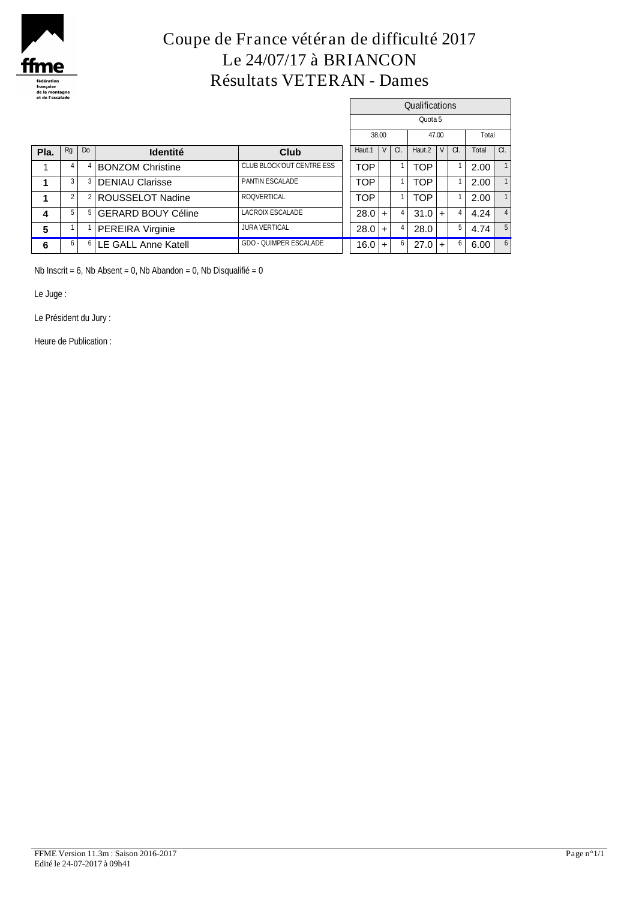

# **Coupe de France vétéran de difficulté 2017 Le 24/07/17 à BRIANCON Résultats VETERAN - Dames**

|      |    |    |                                  |                                 |            |                |          | <b>Qualifications</b> |        |    |       |     |
|------|----|----|----------------------------------|---------------------------------|------------|----------------|----------|-----------------------|--------|----|-------|-----|
|      |    |    |                                  |                                 |            |                |          | Quota 5               |        |    |       |     |
|      |    |    |                                  |                                 |            | 38.00          |          |                       | 47.00  |    | Total |     |
| Pla. | Rg | Do | <b>Identité</b>                  | Club                            | Haut.1     | V <sub>1</sub> | $\alpha$ | Haut.2                | $\vee$ | a. | Total | CI. |
|      |    |    | <b>BONZOM Christine</b>          | <b>CLUB BLOCKOUT CENTRE ESS</b> | <b>TOP</b> |                |          | <b>TOP</b>            |        |    | 2.00  |     |
|      |    | з  | <b>DENIAU Clarisse</b>           | PANTIN ESCALADE                 | <b>TOP</b> |                |          | <b>TOP</b>            |        |    | 2.00  |     |
|      |    |    | ROUSSELOT Nadine                 | <b>ROQVERTICAL</b>              | <b>TOP</b> |                |          | <b>TOP</b>            |        |    | 2.00  |     |
| 4    |    | đ  | <b>GERARD BOUY Céline</b>        | LACROIX ESCALADE                | 28.0       |                |          | 31.0                  | $+$    |    | 4.24  |     |
| 5    |    |    | PEREIRA Virginie                 | <b>JURA VERTICAL</b>            | 28.0       | $\ddot{}$      |          | 28.0                  |        | 5  | 4.74  |     |
| 6    |    |    | <sup>6</sup> LE GALL Anne Katell | <b>GDO - QUIMPER ESCALADE</b>   | 16.0       |                | 6        | $27.0 +$              |        | 6  | 6.00  | 6   |

Nb Inscrit = 6, Nb Absent = 0, Nb Abandon = 0, Nb Disqualifié = 0

Le Juge :

Le Président du Jury :